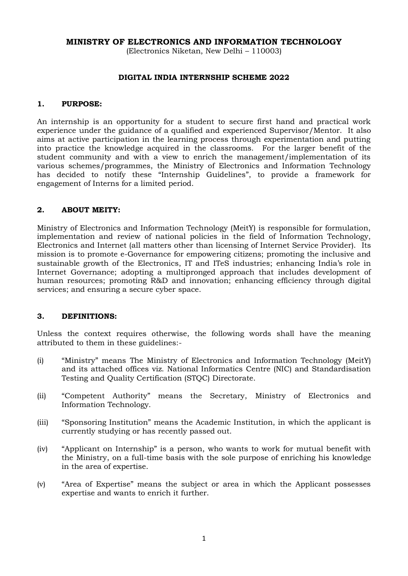## **MINISTRY OF ELECTRONICS AND INFORMATION TECHNOLOGY**

(Electronics Niketan, New Delhi – 110003)

#### **DIGITAL INDIA INTERNSHIP SCHEME 2022**

#### **1. PURPOSE:**

An internship is an opportunity for a student to secure first hand and practical work experience under the guidance of a qualified and experienced Supervisor/Mentor. It also aims at active participation in the learning process through experimentation and putting into practice the knowledge acquired in the classrooms. For the larger benefit of the student community and with a view to enrich the management/implementation of its various schemes/programmes, the Ministry of Electronics and Information Technology has decided to notify these "Internship Guidelines", to provide a framework for engagement of Interns for a limited period.

#### **2. ABOUT MEITY:**

Ministry of Electronics and Information Technology (MeitY) is responsible for formulation, implementation and review of national policies in the field of Information Technology, Electronics and Internet (all matters other than licensing of Internet Service Provider). Its mission is to promote e-Governance for empowering citizens; promoting the inclusive and sustainable growth of the Electronics, IT and ITeS industries; enhancing India's role in Internet Governance; adopting a multipronged approach that includes development of human resources; promoting R&D and innovation; enhancing efficiency through digital services; and ensuring a secure cyber space.

#### **3. DEFINITIONS:**

Unless the context requires otherwise, the following words shall have the meaning attributed to them in these guidelines:-

- (i) "Ministry" means The Ministry of Electronics and Information Technology (MeitY) and its attached offices viz. National Informatics Centre (NIC) and Standardisation Testing and Quality Certification (STQC) Directorate.
- (ii) "Competent Authority" means the Secretary, Ministry of Electronics and Information Technology.
- (iii) "Sponsoring Institution" means the Academic Institution, in which the applicant is currently studying or has recently passed out.
- (iv) "Applicant on Internship" is a person, who wants to work for mutual benefit with the Ministry, on a full-time basis with the sole purpose of enriching his knowledge in the area of expertise.
- (v) "Area of Expertise" means the subject or area in which the Applicant possesses expertise and wants to enrich it further.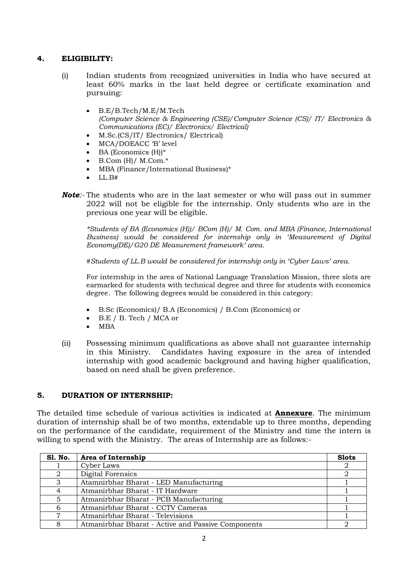# **4. ELIGIBILITY:**

- (i) Indian students from recognized universities in India who have secured at least 60% marks in the last held degree or certificate examination and pursuing:
	- B.E/B.Tech/M.E/M.Tech *(Computer Science & Engineering (CSE)/Computer Science (CS)/ IT/ Electronics & Communications (EC)/ Electronics/ Electrical)*
	- M.Sc.(CS/IT/ Electronics/ Electrical)
	- MCA/DOEACC 'B' level
	- BA (Economics (H))\*
	- B.Com (H)/ M.Com.\*
	- MBA (Finance/International Business)\*
	- LL $B#$
- *Note:-* The students who are in the last semester or who will pass out in summer 2022 will not be eligible for the internship. Only students who are in the previous one year will be eligible.

*\*Students of BA (Economics (H))/ BCom (H)/ M. Com. and MBA (Finance, International Business) would be considered for internship only in 'Measurement of Digital Economy(DE)/G20 DE Measurement framework' area.* 

*#Students of LL.B would be considered for internship only in 'Cyber Laws' area.*

For internship in the area of National Language Translation Mission, three slots are earmarked for students with technical degree and three for students with economics degree. The following degrees would be considered in this category:

- B.Sc (Economics)/ B.A (Economics) / B.Com (Economics) or
- B.E / B. Tech / MCA or
- $\bullet$  MBA
- (ii) Possessing minimum qualifications as above shall not guarantee internship in this Ministry. Candidates having exposure in the area of intended internship with good academic background and having higher qualification, based on need shall be given preference.

## **5. DURATION OF INTERNSHIP:**

The detailed time schedule of various activities is indicated at **Annexure**. The minimum duration of internship shall be of two months, extendable up to three months, depending on the performance of the candidate, requirement of the Ministry and time the intern is willing to spend with the Ministry. The areas of Internship are as follows:-

| <b>S1. No.</b> | Area of Internship                                 | <b>Slots</b> |
|----------------|----------------------------------------------------|--------------|
|                | Cyber Laws                                         |              |
|                | Digital Forensics                                  |              |
| 3              | Atamnirbhar Bharat - LED Manufacturing             |              |
|                | Atmanirbhar Bharat - IT Hardware                   |              |
|                | Atmanirbhar Bharat - PCB Manufacturing             |              |
|                | Atmanirbhar Bharat - CCTV Cameras                  |              |
|                | Atmanirbhar Bharat - Televisions                   |              |
|                | Atmanirbhar Bharat - Active and Passive Components |              |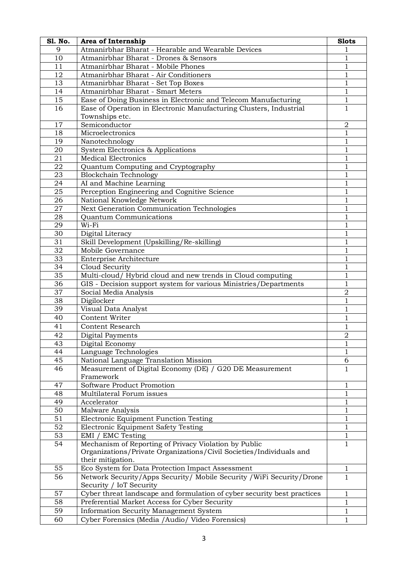| <b>S1. No.</b> | Area of Internship                                                      | <b>Slots</b>   |  |
|----------------|-------------------------------------------------------------------------|----------------|--|
| 9              | Atmanirbhar Bharat - Hearable and Wearable Devices                      |                |  |
| 10             | Atmanirbhar Bharat - Drones & Sensors                                   | 1              |  |
| 11             | Atmanirbhar Bharat - Mobile Phones                                      |                |  |
| 12             | Atmanirbhar Bharat - Air Conditioners                                   |                |  |
| 13             | Atmanirbhar Bharat - Set Top Boxes                                      |                |  |
| 14             | Atmanirbhar Bharat - Smart Meters                                       | 1              |  |
| 15             | Ease of Doing Business in Electronic and Telecom Manufacturing          |                |  |
| 16             | Ease of Operation in Electronic Manufacturing Clusters, Industrial      | $\mathbf{1}$   |  |
|                | Townships etc.                                                          |                |  |
| 17             | Semiconductor                                                           | $\overline{2}$ |  |
| 18             | Microelectronics                                                        | 1              |  |
| 19             | Nanotechnology                                                          | 1              |  |
| 20             | System Electronics & Applications                                       | $\mathbf{1}$   |  |
| 21             | <b>Medical Electronics</b>                                              | 1              |  |
| 22             | Quantum Computing and Cryptography                                      | 1              |  |
| 23             | <b>Blockchain Technology</b>                                            | $\mathbf{1}$   |  |
| 24             | AI and Machine Learning                                                 | $\mathbf{1}$   |  |
| 25             | Perception Engineering and Cognitive Science                            | 1              |  |
| 26             | National Knowledge Network                                              | $\mathbf{1}$   |  |
| 27             | Next Generation Communication Technologies                              | 1              |  |
| 28             | Quantum Communications                                                  | 1              |  |
| 29             | Wi-Fi                                                                   | 1              |  |
| 30             | Digital Literacy                                                        | $\mathbf{1}$   |  |
| 31             | Skill Development (Upskilling/Re-skilling)                              | $\mathbf{1}$   |  |
| 32             | Mobile Governance                                                       | $\mathbf{1}$   |  |
| 33             | Enterprise Architecture                                                 | 1              |  |
| 34             | Cloud Security                                                          | 1              |  |
| 35             | Multi-cloud/Hybrid cloud and new trends in Cloud computing              | $\mathbf{1}$   |  |
| 36             | GIS - Decision support system for various Ministries/Departments        | $\mathbf{1}$   |  |
| 37             | Social Media Analysis                                                   | $\sqrt{2}$     |  |
| 38             | Digilocker                                                              | $\mathbf 1$    |  |
| 39             | Visual Data Analyst                                                     | 1              |  |
| 40             | <b>Content Writer</b>                                                   | 1              |  |
| 41             | <b>Content Research</b>                                                 | 1              |  |
| 42             | Digital Payments                                                        | $\mathbf 2$    |  |
| 43             | Digital Economy                                                         | $\,1$          |  |
| 44             | Language Technologies                                                   | $\mathbf{1}$   |  |
| 45             | National Language Translation Mission                                   | 6              |  |
| 46             | Measurement of Digital Economy (DE) / G20 DE Measurement                | $\mathbf{1}$   |  |
|                | Framework                                                               |                |  |
| 47             | Software Product Promotion                                              | 1              |  |
| 48             | Multilateral Forum issues                                               | 1              |  |
| 49             | Accelerator                                                             | $\mathbf 1$    |  |
| 50             | Malware Analysis                                                        | $\mathbf 1$    |  |
| 51             | Electronic Equipment Function Testing                                   | $\mathbf{1}$   |  |
| 52             | Electronic Equipment Safety Testing                                     | 1              |  |
| 53             | EMI / EMC Testing                                                       | $\mathbf{1}$   |  |
| 54             | Mechanism of Reporting of Privacy Violation by Public                   | $\mathbf{1}$   |  |
|                | Organizations/Private Organizations/Civil Societies/Individuals and     |                |  |
|                | their mitigation.                                                       |                |  |
| 55             | Eco System for Data Protection Impact Assessment                        | 1              |  |
| 56             | Network Security/Apps Security/ Mobile Security / WiFi Security/Drone   | $\mathbf{1}$   |  |
|                | Security / IoT Security                                                 |                |  |
| 57             | Cyber threat landscape and formulation of cyber security best practices | 1              |  |
| 58             | Preferential Market Access for Cyber Security                           |                |  |
|                |                                                                         | 1              |  |
| 59             | <b>Information Security Management System</b>                           | 1              |  |
| 60             | Cyber Forensics (Media /Audio/ Video Forensics)                         | 1              |  |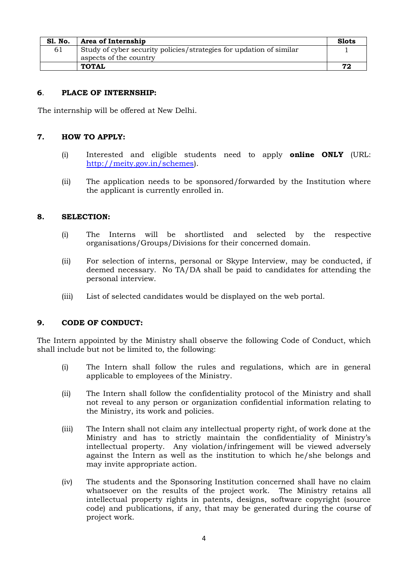| <b>S1. No.</b> | Area of Internship                                                  | <b>Slots</b> |
|----------------|---------------------------------------------------------------------|--------------|
| 61             | Study of cyber security policies/strategies for updation of similar |              |
|                | aspects of the country                                              |              |
|                | <b>TOTAL</b>                                                        | 72           |

## **6**. **PLACE OF INTERNSHIP:**

The internship will be offered at New Delhi.

## **7. HOW TO APPLY:**

- (i) Interested and eligible students need to apply **online ONLY** (URL: [http://meity.gov.in/schemes\)](http://meity.gov.in/schemes).
- (ii) The application needs to be sponsored/forwarded by the Institution where the applicant is currently enrolled in.

## **8. SELECTION:**

- (i) The Interns will be shortlisted and selected by the respective organisations/Groups/Divisions for their concerned domain.
- (ii) For selection of interns, personal or Skype Interview, may be conducted, if deemed necessary. No TA/DA shall be paid to candidates for attending the personal interview.
- (iii) List of selected candidates would be displayed on the web portal.

## **9. CODE OF CONDUCT:**

The Intern appointed by the Ministry shall observe the following Code of Conduct, which shall include but not be limited to, the following:

- (i) The Intern shall follow the rules and regulations, which are in general applicable to employees of the Ministry.
- (ii) The Intern shall follow the confidentiality protocol of the Ministry and shall not reveal to any person or organization confidential information relating to the Ministry, its work and policies.
- (iii) The Intern shall not claim any intellectual property right, of work done at the Ministry and has to strictly maintain the confidentiality of Ministry's intellectual property. Any violation/infringement will be viewed adversely against the Intern as well as the institution to which he/she belongs and may invite appropriate action.
- (iv) The students and the Sponsoring Institution concerned shall have no claim whatsoever on the results of the project work. The Ministry retains all intellectual property rights in patents, designs, software copyright (source code) and publications, if any, that may be generated during the course of project work.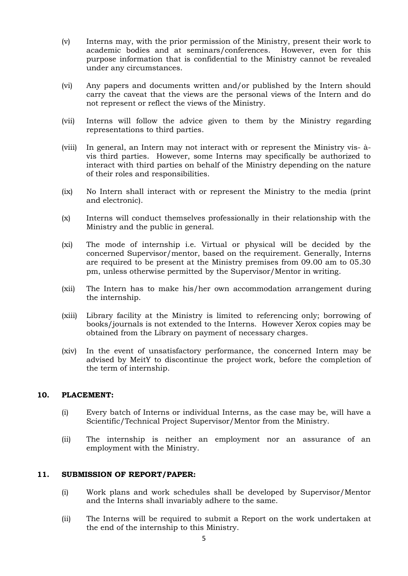- (v) Interns may, with the prior permission of the Ministry, present their work to academic bodies and at seminars/conferences. However, even for this purpose information that is confidential to the Ministry cannot be revealed under any circumstances.
- (vi) Any papers and documents written and/or published by the Intern should carry the caveat that the views are the personal views of the Intern and do not represent or reflect the views of the Ministry.
- (vii) Interns will follow the advice given to them by the Ministry regarding representations to third parties.
- (viii) In general, an Intern may not interact with or represent the Ministry vis- àvis third parties. However, some Interns may specifically be authorized to interact with third parties on behalf of the Ministry depending on the nature of their roles and responsibilities.
- (ix) No Intern shall interact with or represent the Ministry to the media (print and electronic).
- (x) Interns will conduct themselves professionally in their relationship with the Ministry and the public in general.
- (xi) The mode of internship i.e. Virtual or physical will be decided by the concerned Supervisor/mentor, based on the requirement. Generally, Interns are required to be present at the Ministry premises from 09.00 am to 05.30 pm, unless otherwise permitted by the Supervisor/Mentor in writing.
- (xii) The Intern has to make his/her own accommodation arrangement during the internship.
- (xiii) Library facility at the Ministry is limited to referencing only; borrowing of books/journals is not extended to the Interns. However Xerox copies may be obtained from the Library on payment of necessary charges.
- (xiv) In the event of unsatisfactory performance, the concerned Intern may be advised by MeitY to discontinue the project work, before the completion of the term of internship.

#### **10. PLACEMENT:**

- (i) Every batch of Interns or individual Interns, as the case may be, will have a Scientific/Technical Project Supervisor/Mentor from the Ministry.
- (ii) The internship is neither an employment nor an assurance of an employment with the Ministry.

#### **11. SUBMISSION OF REPORT/PAPER:**

- (i) Work plans and work schedules shall be developed by Supervisor/Mentor and the Interns shall invariably adhere to the same.
- (ii) The Interns will be required to submit a Report on the work undertaken at the end of the internship to this Ministry.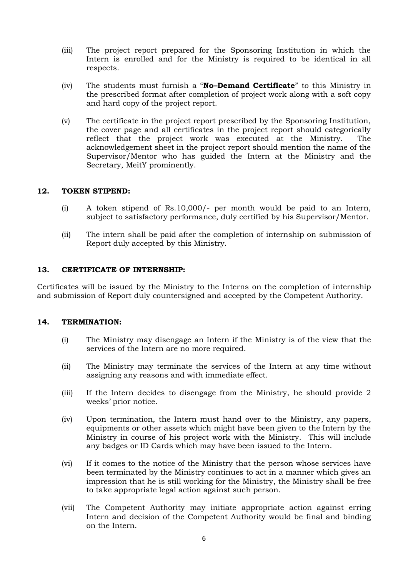- (iii) The project report prepared for the Sponsoring Institution in which the Intern is enrolled and for the Ministry is required to be identical in all respects.
- (iv) The students must furnish a "**No–Demand Certificate**" to this Ministry in the prescribed format after completion of project work along with a soft copy and hard copy of the project report.
- (v) The certificate in the project report prescribed by the Sponsoring Institution, the cover page and all certificates in the project report should categorically reflect that the project work was executed at the Ministry. The acknowledgement sheet in the project report should mention the name of the Supervisor/Mentor who has guided the Intern at the Ministry and the Secretary, MeitY prominently.

## **12. TOKEN STIPEND:**

- (i) A token stipend of Rs.10,000/- per month would be paid to an Intern, subject to satisfactory performance, duly certified by his Supervisor/Mentor.
- (ii) The intern shall be paid after the completion of internship on submission of Report duly accepted by this Ministry.

#### **13. CERTIFICATE OF INTERNSHIP:**

Certificates will be issued by the Ministry to the Interns on the completion of internship and submission of Report duly countersigned and accepted by the Competent Authority.

## **14. TERMINATION:**

- (i) The Ministry may disengage an Intern if the Ministry is of the view that the services of the Intern are no more required.
- (ii) The Ministry may terminate the services of the Intern at any time without assigning any reasons and with immediate effect.
- (iii) If the Intern decides to disengage from the Ministry, he should provide 2 weeks' prior notice.
- (iv) Upon termination, the Intern must hand over to the Ministry, any papers, equipments or other assets which might have been given to the Intern by the Ministry in course of his project work with the Ministry. This will include any badges or ID Cards which may have been issued to the Intern.
- (vi) If it comes to the notice of the Ministry that the person whose services have been terminated by the Ministry continues to act in a manner which gives an impression that he is still working for the Ministry, the Ministry shall be free to take appropriate legal action against such person.
- (vii) The Competent Authority may initiate appropriate action against erring Intern and decision of the Competent Authority would be final and binding on the Intern.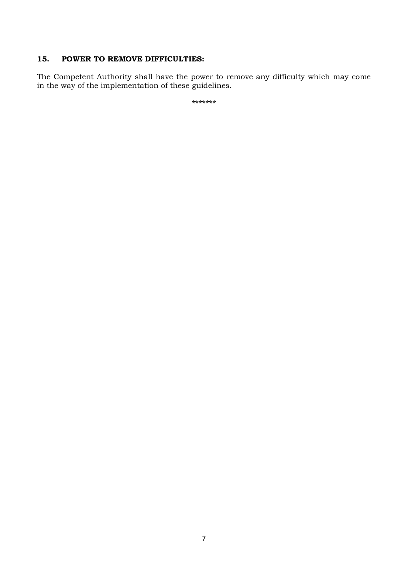# **15. POWER TO REMOVE DIFFICULTIES:**

The Competent Authority shall have the power to remove any difficulty which may come in the way of the implementation of these guidelines.

**\*\*\*\*\*\*\***